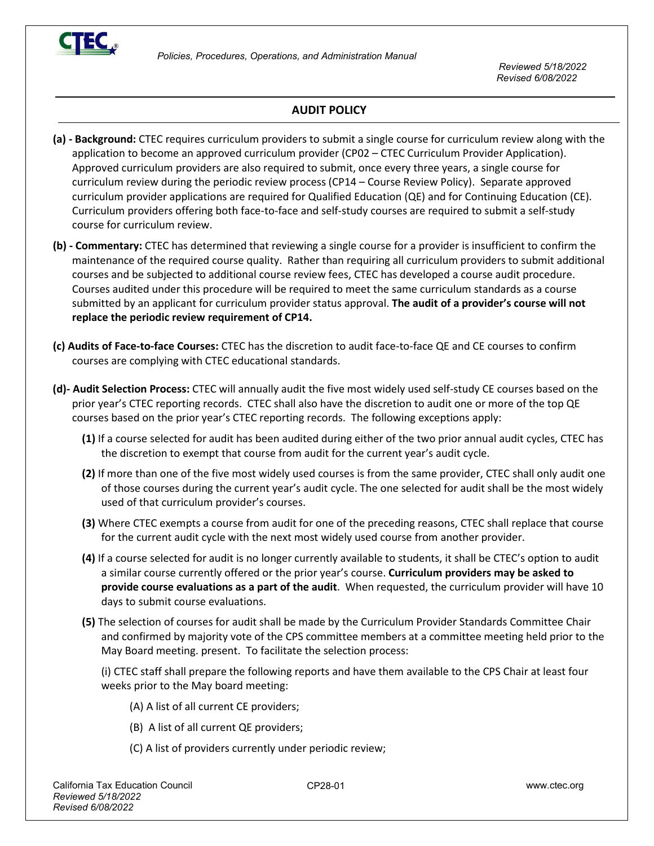

## **AUDIT POLICY**

- **(a) - Background:** CTEC requires curriculum providers to submit a single course for curriculum review along with the application to become an approved curriculum provider (CP02 – CTEC Curriculum Provider Application). Approved curriculum providers are also required to submit, once every three years, a single course for curriculum review during the periodic review process (CP14 – Course Review Policy). Separate approved curriculum provider applications are required for Qualified Education (QE) and for Continuing Education (CE). Curriculum providers offering both face-to-face and self-study courses are required to submit a self-study course for curriculum review.
- **(b) - Commentary:** CTEC has determined that reviewing a single course for a provider is insufficient to confirm the maintenance of the required course quality. Rather than requiring all curriculum providers to submit additional courses and be subjected to additional course review fees, CTEC has developed a course audit procedure. Courses audited under this procedure will be required to meet the same curriculum standards as a course submitted by an applicant for curriculum provider status approval. **The audit of a provider's course will not replace the periodic review requirement of CP14.**
- **(c) Audits of Face-to-face Courses:** CTEC has the discretion to audit face-to-face QE and CE courses to confirm courses are complying with CTEC educational standards.
- **(d)- Audit Selection Process:** CTEC will annually audit the five most widely used self-study CE courses based on the prior year's CTEC reporting records. CTEC shall also have the discretion to audit one or more of the top QE courses based on the prior year's CTEC reporting records. The following exceptions apply:
	- **(1)** If a course selected for audit has been audited during either of the two prior annual audit cycles, CTEC has the discretion to exempt that course from audit for the current year's audit cycle.
	- **(2)** If more than one of the five most widely used courses is from the same provider, CTEC shall only audit one of those courses during the current year's audit cycle. The one selected for audit shall be the most widely used of that curriculum provider's courses.
	- **(3)** Where CTEC exempts a course from audit for one of the preceding reasons, CTEC shall replace that course for the current audit cycle with the next most widely used course from another provider.
	- **(4)** If a course selected for audit is no longer currently available to students, it shall be CTEC's option to audit a similar course currently offered or the prior year's course. **Curriculum providers may be asked to provide course evaluations as a part of the audit**. When requested, the curriculum provider will have 10 days to submit course evaluations.
	- **(5)** The selection of courses for audit shall be made by the Curriculum Provider Standards Committee Chair and confirmed by majority vote of the CPS committee members at a committee meeting held prior to the May Board meeting. present. To facilitate the selection process:

(i) CTEC staff shall prepare the following reports and have them available to the CPS Chair at least four weeks prior to the May board meeting:

- (A) A list of all current CE providers;
- (B) A list of all current QE providers;
- (C) A list of providers currently under periodic review;